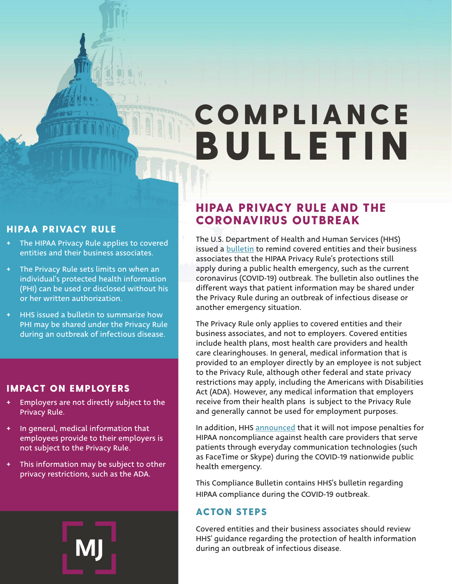# COMPLIANCE BULLETIN

#### HIPAA PRIVACY RULE

- + The HIPAA Privacy Rule applies to covered entities and their business associates.
- The Privacy Rule sets limits on when an individual's protected health information (PHI) can be used or disclosed without his or her written authorization.
- HHS issued a bulletin to summarize how PHI may be shared under the Privacy Rule during an outbreak of infectious disease.

#### IMPACT ON EMPLOYERS

- Employers are not directly subject to the Privacy Rule.
- In general, medical information that employees provide to their employers is not subject to the Privacy Rule.
- This information may be subject to other privacy restrictions, such as the ADA.



# HIPAA PRIVACY RULE AND THE CORONAVIRUS OUTBREAK

The U.S. Department of Health and Human Services (HHS) issued a [bulletin](https://www.hhs.gov/sites/default/files/february-2020-hipaa-and-novel-coronavirus.pdf) to remind covered entities and their business associates that the HIPAA Privacy Rule's protections still apply during a public health emergency, such as the current coronavirus (COVID-19) outbreak. The bulletin also outlines the different ways that patient information may be shared under the Privacy Rule during an outbreak of infectious disease or another emergency situation.

The Privacy Rule only applies to covered entities and their business associates, and not to employers. Covered entities include health plans, most health care providers and health care clearinghouses. In general, medical information that is provided to an employer directly by an employee is not subject to the Privacy Rule, although other federal and state privacy restrictions may apply, including the Americans with Disabilities Act (ADA). However, any medical information that employers receive from their health plans is subject to the Privacy Rule and generally cannot be used for employment purposes.

In addition, HHS [announced](https://www.hhs.gov/about/news/2020/03/17/ocr-announces-notification-of-enforcement-discretion-for-telehealth-remote-communications-during-the-covid-19.html) that it will not impose penalties for HIPAA noncompliance against health care providers that serve patients through everyday communication technologies (such as FaceTime or Skype) during the COVID-19 nationwide public health emergency.

This Compliance Bulletin contains HHS's bulletin regarding HIPAA compliance during the COVID-19 outbreak.

# ACTON STEPS

Covered entities and their business associates should review HHS' guidance regarding the protection of health information during an outbreak of infectious disease.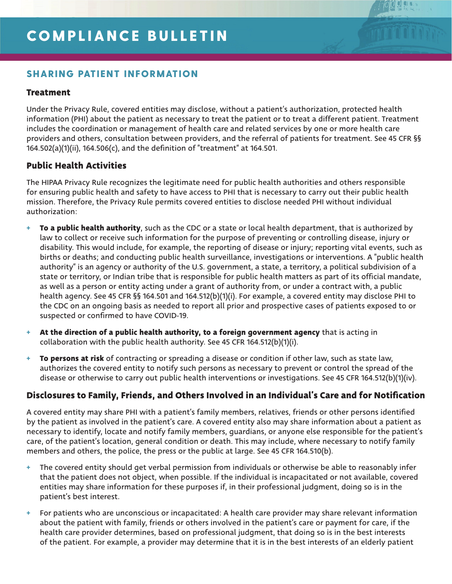# COMPLIANCE BULLETIN

# SHARING PATIENT INFORMATION

#### **Treatment**

Under the Privacy Rule, covered entities may disclose, without a patient's authorization, protected health information (PHI) about the patient as necessary to treat the patient or to treat a different patient. Treatment includes the coordination or management of health care and related services by one or more health care providers and others, consultation between providers, and the referral of patients for treatment. See 45 CFR §§ 164.502(a)(1)(ii), 164.506(c), and the definition of "treatment" at 164.501.

#### **Public Health Activities**

The HIPAA Privacy Rule recognizes the legitimate need for public health authorities and others responsible for ensuring public health and safety to have access to PHI that is necessary to carry out their public health mission. Therefore, the Privacy Rule permits covered entities to disclose needed PHI without individual authorization:

- **To a public health authority**, such as the CDC or a state or local health department, that is authorized by law to collect or receive such information for the purpose of preventing or controlling disease, injury or disability. This would include, for example, the reporting of disease or injury; reporting vital events, such as births or deaths; and conducting public health surveillance, investigations or interventions. A "public health authority" is an agency or authority of the U.S. government, a state, a territory, a political subdivision of a state or territory, or Indian tribe that is responsible for public health matters as part of its official mandate, as well as a person or entity acting under a grant of authority from, or under a contract with, a public health agency. See 45 CFR §§ 164.501 and 164.512(b)(1)(i). For example, a covered entity may disclose PHI to the CDC on an ongoing basis as needed to report all prior and prospective cases of patients exposed to or suspected or confirmed to have COVID-19.
- + **At the direction of a public health authority, to a foreign government agency** that is acting in collaboration with the public health authority. See 45 CFR 164.512(b)(1)(i).
- + **To persons at risk** of contracting or spreading a disease or condition if other law, such as state law, authorizes the covered entity to notify such persons as necessary to prevent or control the spread of the disease or otherwise to carry out public health interventions or investigations. See 45 CFR 164.512(b)(1)(iv).

#### **Disclosures to Family, Friends, and Others Involved in an Individual's Care and for Notification**

A covered entity may share PHI with a patient's family members, relatives, friends or other persons identified by the patient as involved in the patient's care. A covered entity also may share information about a patient as necessary to identify, locate and notify family members, guardians, or anyone else responsible for the patient's care, of the patient's location, general condition or death. This may include, where necessary to notify family members and others, the police, the press or the public at large. See 45 CFR 164.510(b).

- + The covered entity should get verbal permission from individuals or otherwise be able to reasonably infer that the patient does not object, when possible. If the individual is incapacitated or not available, covered entities may share information for these purposes if, in their professional judgment, doing so is in the patient's best interest.
- + For patients who are unconscious or incapacitated: A health care provider may share relevant information about the patient with family, friends or others involved in the patient's care or payment for care, if the health care provider determines, based on professional judgment, that doing so is in the best interests of the patient. For example, a provider may determine that it is in the best interests of an elderly patient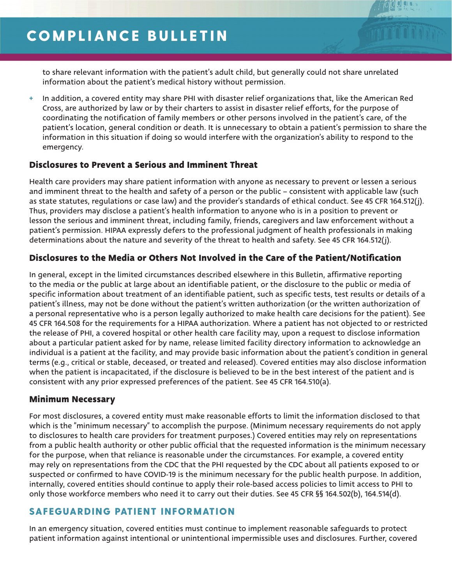to share relevant information with the patient's adult child, but generally could not share unrelated information about the patient's medical history without permission.

In addition, a covered entity may share PHI with disaster relief organizations that, like the American Red Cross, are authorized by law or by their charters to assist in disaster relief efforts, for the purpose of coordinating the notification of family members or other persons involved in the patient's care, of the patient's location, general condition or death. It is unnecessary to obtain a patient's permission to share the information in this situation if doing so would interfere with the organization's ability to respond to the emergency.

#### **Disclosures to Prevent a Serious and Imminent Threat**

Health care providers may share patient information with anyone as necessary to prevent or lessen a serious and imminent threat to the health and safety of a person or the public – consistent with applicable law (such as state statutes, regulations or case law) and the provider's standards of ethical conduct. See 45 CFR 164.512(j). Thus, providers may disclose a patient's health information to anyone who is in a position to prevent or lesson the serious and imminent threat, including family, friends, caregivers and law enforcement without a patient's permission. HIPAA expressly defers to the professional judgment of health professionals in making determinations about the nature and severity of the threat to health and safety. See 45 CFR 164.512(j).

# **Disclosures to the Media or Others Not Involved in the Care of the Patient/Notification**

In general, except in the limited circumstances described elsewhere in this Bulletin, affirmative reporting to the media or the public at large about an identifiable patient, or the disclosure to the public or media of specific information about treatment of an identifiable patient, such as specific tests, test results or details of a patient's illness, may not be done without the patient's written authorization (or the written authorization of a personal representative who is a person legally authorized to make health care decisions for the patient). See 45 CFR 164.508 for the requirements for a HIPAA authorization. Where a patient has not objected to or restricted the release of PHI, a covered hospital or other health care facility may, upon a request to disclose information about a particular patient asked for by name, release limited facility directory information to acknowledge an individual is a patient at the facility, and may provide basic information about the patient's condition in general terms (e.g., critical or stable, deceased, or treated and released). Covered entities may also disclose information when the patient is incapacitated, if the disclosure is believed to be in the best interest of the patient and is consistent with any prior expressed preferences of the patient. See 45 CFR 164.510(a).

#### **Minimum Necessary**

For most disclosures, a covered entity must make reasonable efforts to limit the information disclosed to that which is the "minimum necessary" to accomplish the purpose. (Minimum necessary requirements do not apply to disclosures to health care providers for treatment purposes.) Covered entities may rely on representations from a public health authority or other public official that the requested information is the minimum necessary for the purpose, when that reliance is reasonable under the circumstances. For example, a covered entity may rely on representations from the CDC that the PHI requested by the CDC about all patients exposed to or suspected or confirmed to have COVID-19 is the minimum necessary for the public health purpose. In addition, internally, covered entities should continue to apply their role-based access policies to limit access to PHI to only those workforce members who need it to carry out their duties. See 45 CFR §§ 164.502(b), 164.514(d).

# SAFEGUARDING PATIENT INFORMATION

In an emergency situation, covered entities must continue to implement reasonable safeguards to protect patient information against intentional or unintentional impermissible uses and disclosures. Further, covered